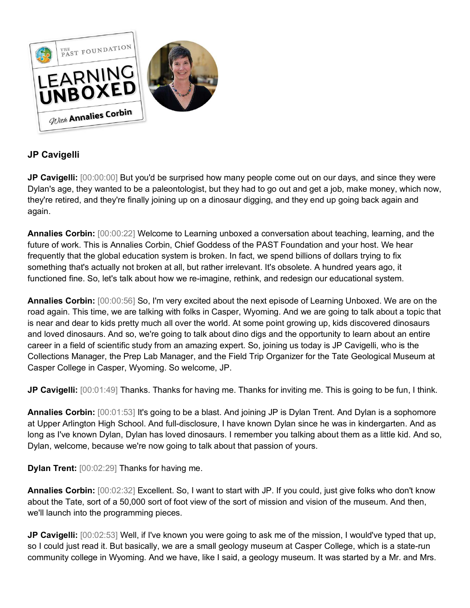

## **JP Cavigelli**

**JP Cavigelli:** [00:00:00] But you'd be surprised how many people come out on our days, and since they were Dylan's age, they wanted to be a paleontologist, but they had to go out and get a job, make money, which now, they're retired, and they're finally joining up on a dinosaur digging, and they end up going back again and again.

**Annalies Corbin:** [00:00:22] Welcome to Learning unboxed a conversation about teaching, learning, and the future of work. This is Annalies Corbin, Chief Goddess of the PAST Foundation and your host. We hear frequently that the global education system is broken. In fact, we spend billions of dollars trying to fix something that's actually not broken at all, but rather irrelevant. It's obsolete. A hundred years ago, it functioned fine. So, let's talk about how we re-imagine, rethink, and redesign our educational system.

**Annalies Corbin:** [00:00:56] So, I'm very excited about the next episode of Learning Unboxed. We are on the road again. This time, we are talking with folks in Casper, Wyoming. And we are going to talk about a topic that is near and dear to kids pretty much all over the world. At some point growing up, kids discovered dinosaurs and loved dinosaurs. And so, we're going to talk about dino digs and the opportunity to learn about an entire career in a field of scientific study from an amazing expert. So, joining us today is JP Cavigelli, who is the Collections Manager, the Prep Lab Manager, and the Field Trip Organizer for the Tate Geological Museum at Casper College in Casper, Wyoming. So welcome, JP.

**JP Cavigelli:** [00:01:49] Thanks. Thanks for having me. Thanks for inviting me. This is going to be fun, I think.

**Annalies Corbin:** [00:01:53] It's going to be a blast. And joining JP is Dylan Trent. And Dylan is a sophomore at Upper Arlington High School. And full-disclosure, I have known Dylan since he was in kindergarten. And as long as I've known Dylan, Dylan has loved dinosaurs. I remember you talking about them as a little kid. And so, Dylan, welcome, because we're now going to talk about that passion of yours.

**Dylan Trent:** [00:02:29] Thanks for having me.

**Annalies Corbin:** [00:02:32] Excellent. So, I want to start with JP. If you could, just give folks who don't know about the Tate, sort of a 50,000 sort of foot view of the sort of mission and vision of the museum. And then, we'll launch into the programming pieces.

**JP Cavigelli:** [00:02:53] Well, if I've known you were going to ask me of the mission, I would've typed that up, so I could just read it. But basically, we are a small geology museum at Casper College, which is a state-run community college in Wyoming. And we have, like I said, a geology museum. It was started by a Mr. and Mrs.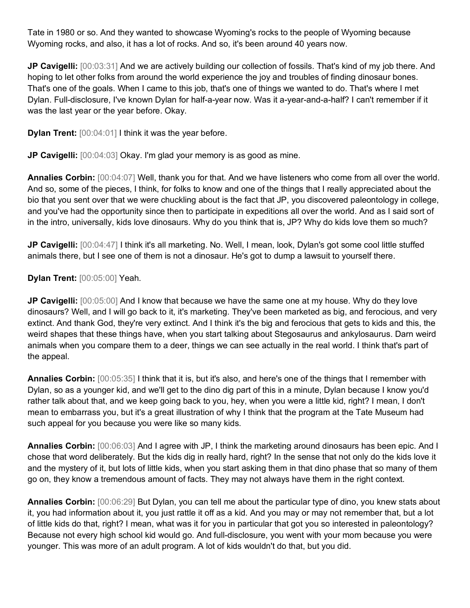Tate in 1980 or so. And they wanted to showcase Wyoming's rocks to the people of Wyoming because Wyoming rocks, and also, it has a lot of rocks. And so, it's been around 40 years now.

**JP Cavigelli:** [00:03:31] And we are actively building our collection of fossils. That's kind of my job there. And hoping to let other folks from around the world experience the joy and troubles of finding dinosaur bones. That's one of the goals. When I came to this job, that's one of things we wanted to do. That's where I met Dylan. Full-disclosure, I've known Dylan for half-a-year now. Was it a-year-and-a-half? I can't remember if it was the last year or the year before. Okay.

**Dylan Trent:** [00:04:01] I think it was the year before.

**JP Cavigelli:** [00:04:03] Okay. I'm glad your memory is as good as mine.

**Annalies Corbin:** [00:04:07] Well, thank you for that. And we have listeners who come from all over the world. And so, some of the pieces, I think, for folks to know and one of the things that I really appreciated about the bio that you sent over that we were chuckling about is the fact that JP, you discovered paleontology in college, and you've had the opportunity since then to participate in expeditions all over the world. And as I said sort of in the intro, universally, kids love dinosaurs. Why do you think that is, JP? Why do kids love them so much?

**JP Cavigelli:** [00:04:47] I think it's all marketing. No. Well, I mean, look, Dylan's got some cool little stuffed animals there, but I see one of them is not a dinosaur. He's got to dump a lawsuit to yourself there.

**Dylan Trent:** [00:05:00] Yeah.

**JP Cavigelli:** [00:05:00] And I know that because we have the same one at my house. Why do they love dinosaurs? Well, and I will go back to it, it's marketing. They've been marketed as big, and ferocious, and very extinct. And thank God, they're very extinct. And I think it's the big and ferocious that gets to kids and this, the weird shapes that these things have, when you start talking about Stegosaurus and ankylosaurus. Darn weird animals when you compare them to a deer, things we can see actually in the real world. I think that's part of the appeal.

**Annalies Corbin:** [00:05:35] I think that it is, but it's also, and here's one of the things that I remember with Dylan, so as a younger kid, and we'll get to the dino dig part of this in a minute, Dylan because I know you'd rather talk about that, and we keep going back to you, hey, when you were a little kid, right? I mean, I don't mean to embarrass you, but it's a great illustration of why I think that the program at the Tate Museum had such appeal for you because you were like so many kids.

**Annalies Corbin:** [00:06:03] And I agree with JP, I think the marketing around dinosaurs has been epic. And I chose that word deliberately. But the kids dig in really hard, right? In the sense that not only do the kids love it and the mystery of it, but lots of little kids, when you start asking them in that dino phase that so many of them go on, they know a tremendous amount of facts. They may not always have them in the right context.

**Annalies Corbin:** [00:06:29] But Dylan, you can tell me about the particular type of dino, you knew stats about it, you had information about it, you just rattle it off as a kid. And you may or may not remember that, but a lot of little kids do that, right? I mean, what was it for you in particular that got you so interested in paleontology? Because not every high school kid would go. And full-disclosure, you went with your mom because you were younger. This was more of an adult program. A lot of kids wouldn't do that, but you did.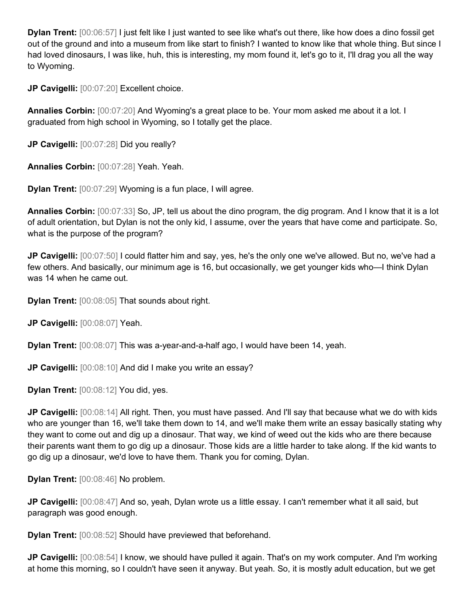**Dylan Trent:** [00:06:57] I just felt like I just wanted to see like what's out there, like how does a dino fossil get out of the ground and into a museum from like start to finish? I wanted to know like that whole thing. But since I had loved dinosaurs, I was like, huh, this is interesting, my mom found it, let's go to it, I'll drag you all the way to Wyoming.

**JP Cavigelli:** [00:07:20] Excellent choice.

**Annalies Corbin:** [00:07:20] And Wyoming's a great place to be. Your mom asked me about it a lot. I graduated from high school in Wyoming, so I totally get the place.

**JP Cavigelli:** [00:07:28] Did you really?

**Annalies Corbin:** [00:07:28] Yeah. Yeah.

**Dylan Trent:** [00:07:29] Wyoming is a fun place, I will agree.

**Annalies Corbin:** [00:07:33] So, JP, tell us about the dino program, the dig program. And I know that it is a lot of adult orientation, but Dylan is not the only kid, I assume, over the years that have come and participate. So, what is the purpose of the program?

**JP Cavigelli:** [00:07:50] I could flatter him and say, yes, he's the only one we've allowed. But no, we've had a few others. And basically, our minimum age is 16, but occasionally, we get younger kids who—I think Dylan was 14 when he came out.

**Dylan Trent:** [00:08:05] That sounds about right.

**JP Cavigelli:** [00:08:07] Yeah.

**Dylan Trent:** [00:08:07] This was a-year-and-a-half ago, I would have been 14, yeah.

JP Cavigelli:  $[00:08:10]$  And did I make you write an essay?

**Dylan Trent:** [00:08:12] You did, yes.

**JP Cavigelli:** [00:08:14] All right. Then, you must have passed. And I'll say that because what we do with kids who are younger than 16, we'll take them down to 14, and we'll make them write an essay basically stating why they want to come out and dig up a dinosaur. That way, we kind of weed out the kids who are there because their parents want them to go dig up a dinosaur. Those kids are a little harder to take along. If the kid wants to go dig up a dinosaur, we'd love to have them. Thank you for coming, Dylan.

**Dylan Trent:** [00:08:46] No problem.

**JP Cavigelli:** [00:08:47] And so, yeah, Dylan wrote us a little essay. I can't remember what it all said, but paragraph was good enough.

**Dylan Trent:** [00:08:52] Should have previewed that beforehand.

**JP Cavigelli:** [00:08:54] I know, we should have pulled it again. That's on my work computer. And I'm working at home this morning, so I couldn't have seen it anyway. But yeah. So, it is mostly adult education, but we get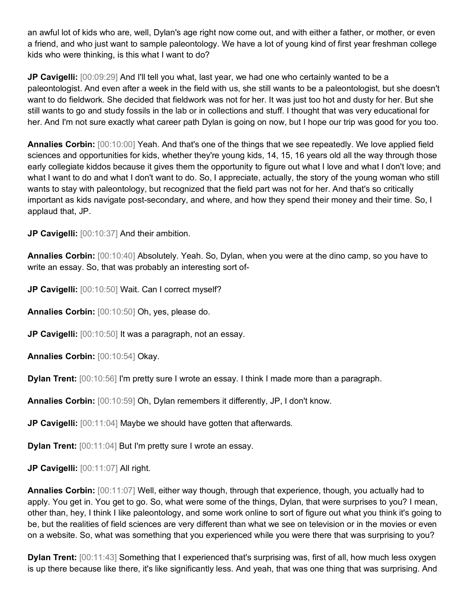an awful lot of kids who are, well, Dylan's age right now come out, and with either a father, or mother, or even a friend, and who just want to sample paleontology. We have a lot of young kind of first year freshman college kids who were thinking, is this what I want to do?

**JP Cavigelli:** [00:09:29] And I'll tell you what, last year, we had one who certainly wanted to be a paleontologist. And even after a week in the field with us, she still wants to be a paleontologist, but she doesn't want to do fieldwork. She decided that fieldwork was not for her. It was just too hot and dusty for her. But she still wants to go and study fossils in the lab or in collections and stuff. I thought that was very educational for her. And I'm not sure exactly what career path Dylan is going on now, but I hope our trip was good for you too.

**Annalies Corbin:** [00:10:00] Yeah. And that's one of the things that we see repeatedly. We love applied field sciences and opportunities for kids, whether they're young kids, 14, 15, 16 years old all the way through those early collegiate kiddos because it gives them the opportunity to figure out what I love and what I don't love; and what I want to do and what I don't want to do. So, I appreciate, actually, the story of the young woman who still wants to stay with paleontology, but recognized that the field part was not for her. And that's so critically important as kids navigate post-secondary, and where, and how they spend their money and their time. So, I applaud that, JP.

**JP Cavigelli:** [00:10:37] And their ambition.

**Annalies Corbin:** [00:10:40] Absolutely. Yeah. So, Dylan, when you were at the dino camp, so you have to write an essay. So, that was probably an interesting sort of-

**JP Cavigelli:** [00:10:50] Wait. Can I correct myself?

**Annalies Corbin:** [00:10:50] Oh, yes, please do.

**JP Cavigelli:** [00:10:50] It was a paragraph, not an essay.

**Annalies Corbin:** [00:10:54] Okay.

**Dylan Trent:** [00:10:56] I'm pretty sure I wrote an essay. I think I made more than a paragraph.

**Annalies Corbin:** [00:10:59] Oh, Dylan remembers it differently, JP, I don't know.

**JP Cavigelli:** [00:11:04] Maybe we should have gotten that afterwards.

**Dylan Trent:** [00:11:04] But I'm pretty sure I wrote an essay.

**JP Cavigelli:** [00:11:07] All right.

**Annalies Corbin:** [00:11:07] Well, either way though, through that experience, though, you actually had to apply. You get in. You get to go. So, what were some of the things, Dylan, that were surprises to you? I mean, other than, hey, I think I like paleontology, and some work online to sort of figure out what you think it's going to be, but the realities of field sciences are very different than what we see on television or in the movies or even on a website. So, what was something that you experienced while you were there that was surprising to you?

**Dylan Trent:** [00:11:43] Something that I experienced that's surprising was, first of all, how much less oxygen is up there because like there, it's like significantly less. And yeah, that was one thing that was surprising. And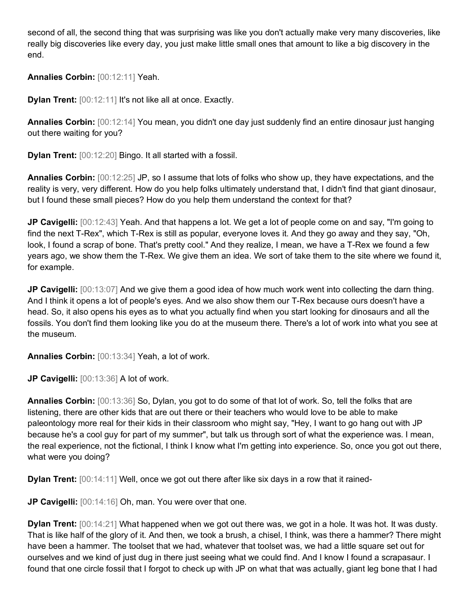second of all, the second thing that was surprising was like you don't actually make very many discoveries, like really big discoveries like every day, you just make little small ones that amount to like a big discovery in the end.

**Annalies Corbin:** [00:12:11] Yeah.

**Dylan Trent:** [00:12:11] It's not like all at once. Exactly.

**Annalies Corbin:** [00:12:14] You mean, you didn't one day just suddenly find an entire dinosaur just hanging out there waiting for you?

**Dylan Trent:** [00:12:20] Bingo. It all started with a fossil.

**Annalies Corbin:** [00:12:25] JP, so I assume that lots of folks who show up, they have expectations, and the reality is very, very different. How do you help folks ultimately understand that, I didn't find that giant dinosaur, but I found these small pieces? How do you help them understand the context for that?

**JP Cavigelli:** [00:12:43] Yeah. And that happens a lot. We get a lot of people come on and say, "I'm going to find the next T-Rex", which T-Rex is still as popular, everyone loves it. And they go away and they say, "Oh, look, I found a scrap of bone. That's pretty cool." And they realize, I mean, we have a T-Rex we found a few years ago, we show them the T-Rex. We give them an idea. We sort of take them to the site where we found it, for example.

**JP Cavigelli:** [00:13:07] And we give them a good idea of how much work went into collecting the darn thing. And I think it opens a lot of people's eyes. And we also show them our T-Rex because ours doesn't have a head. So, it also opens his eyes as to what you actually find when you start looking for dinosaurs and all the fossils. You don't find them looking like you do at the museum there. There's a lot of work into what you see at the museum.

**Annalies Corbin:** [00:13:34] Yeah, a lot of work.

**JP Cavigelli:** [00:13:36] A lot of work.

**Annalies Corbin:** [00:13:36] So, Dylan, you got to do some of that lot of work. So, tell the folks that are listening, there are other kids that are out there or their teachers who would love to be able to make paleontology more real for their kids in their classroom who might say, "Hey, I want to go hang out with JP because he's a cool guy for part of my summer", but talk us through sort of what the experience was. I mean, the real experience, not the fictional, I think I know what I'm getting into experience. So, once you got out there, what were you doing?

**Dylan Trent:** [00:14:11] Well, once we got out there after like six days in a row that it rained-

**JP Cavigelli:** [00:14:16] Oh, man. You were over that one.

**Dylan Trent:** [00:14:21] What happened when we got out there was, we got in a hole. It was hot. It was dusty. That is like half of the glory of it. And then, we took a brush, a chisel, I think, was there a hammer? There might have been a hammer. The toolset that we had, whatever that toolset was, we had a little square set out for ourselves and we kind of just dug in there just seeing what we could find. And I know I found a scrapasaur. I found that one circle fossil that I forgot to check up with JP on what that was actually, giant leg bone that I had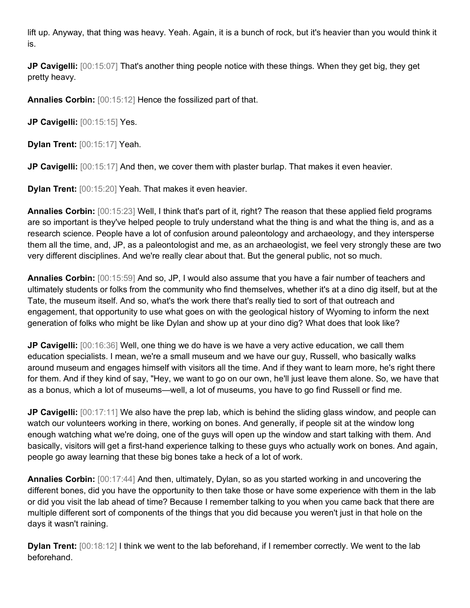lift up. Anyway, that thing was heavy. Yeah. Again, it is a bunch of rock, but it's heavier than you would think it is.

**JP Cavigelli:** [00:15:07] That's another thing people notice with these things. When they get big, they get pretty heavy.

**Annalies Corbin:** [00:15:12] Hence the fossilized part of that.

**JP Cavigelli:** [00:15:15] Yes.

**Dylan Trent:** [00:15:17] Yeah.

**JP Cavigelli:** [00:15:17] And then, we cover them with plaster burlap. That makes it even heavier.

**Dylan Trent:** [00:15:20] Yeah. That makes it even heavier.

**Annalies Corbin:** [00:15:23] Well, I think that's part of it, right? The reason that these applied field programs are so important is they've helped people to truly understand what the thing is and what the thing is, and as a research science. People have a lot of confusion around paleontology and archaeology, and they intersperse them all the time, and, JP, as a paleontologist and me, as an archaeologist, we feel very strongly these are two very different disciplines. And we're really clear about that. But the general public, not so much.

**Annalies Corbin:** [00:15:59] And so, JP, I would also assume that you have a fair number of teachers and ultimately students or folks from the community who find themselves, whether it's at a dino dig itself, but at the Tate, the museum itself. And so, what's the work there that's really tied to sort of that outreach and engagement, that opportunity to use what goes on with the geological history of Wyoming to inform the next generation of folks who might be like Dylan and show up at your dino dig? What does that look like?

**JP Cavigelli:** [00:16:36] Well, one thing we do have is we have a very active education, we call them education specialists. I mean, we're a small museum and we have our guy, Russell, who basically walks around museum and engages himself with visitors all the time. And if they want to learn more, he's right there for them. And if they kind of say, "Hey, we want to go on our own, he'll just leave them alone. So, we have that as a bonus, which a lot of museums—well, a lot of museums, you have to go find Russell or find me.

**JP Cavigelli:** [00:17:11] We also have the prep lab, which is behind the sliding glass window, and people can watch our volunteers working in there, working on bones. And generally, if people sit at the window long enough watching what we're doing, one of the guys will open up the window and start talking with them. And basically, visitors will get a first-hand experience talking to these guys who actually work on bones. And again, people go away learning that these big bones take a heck of a lot of work.

**Annalies Corbin:** [00:17:44] And then, ultimately, Dylan, so as you started working in and uncovering the different bones, did you have the opportunity to then take those or have some experience with them in the lab or did you visit the lab ahead of time? Because I remember talking to you when you came back that there are multiple different sort of components of the things that you did because you weren't just in that hole on the days it wasn't raining.

**Dylan Trent:** [00:18:12] I think we went to the lab beforehand, if I remember correctly. We went to the lab beforehand.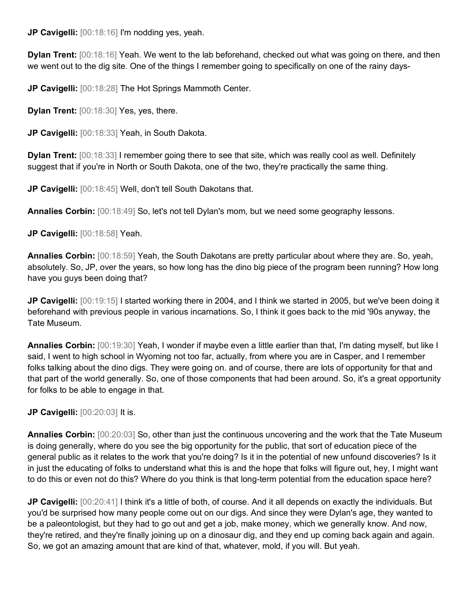**JP Cavigelli:** [00:18:16] I'm nodding yes, yeah.

**Dylan Trent:** [00:18:16] Yeah. We went to the lab beforehand, checked out what was going on there, and then we went out to the dig site. One of the things I remember going to specifically on one of the rainy days-

**JP Cavigelli:** [00:18:28] The Hot Springs Mammoth Center.

**Dylan Trent:** [00:18:30] Yes, yes, there.

**JP Cavigelli:** [00:18:33] Yeah, in South Dakota.

**Dylan Trent:** [00:18:33] I remember going there to see that site, which was really cool as well. Definitely suggest that if you're in North or South Dakota, one of the two, they're practically the same thing.

**JP Cavigelli:** [00:18:45] Well, don't tell South Dakotans that.

**Annalies Corbin:** [00:18:49] So, let's not tell Dylan's mom, but we need some geography lessons.

**JP Cavigelli:** [00:18:58] Yeah.

**Annalies Corbin:** [00:18:59] Yeah, the South Dakotans are pretty particular about where they are. So, yeah, absolutely. So, JP, over the years, so how long has the dino big piece of the program been running? How long have you guys been doing that?

**JP Cavigelli:** [00:19:15] I started working there in 2004, and I think we started in 2005, but we've been doing it beforehand with previous people in various incarnations. So, I think it goes back to the mid '90s anyway, the Tate Museum.

**Annalies Corbin:** [00:19:30] Yeah, I wonder if maybe even a little earlier than that, I'm dating myself, but like I said, I went to high school in Wyoming not too far, actually, from where you are in Casper, and I remember folks talking about the dino digs. They were going on. and of course, there are lots of opportunity for that and that part of the world generally. So, one of those components that had been around. So, it's a great opportunity for folks to be able to engage in that.

**JP Cavigelli:** [00:20:03] It is.

**Annalies Corbin:** [00:20:03] So, other than just the continuous uncovering and the work that the Tate Museum is doing generally, where do you see the big opportunity for the public, that sort of education piece of the general public as it relates to the work that you're doing? Is it in the potential of new unfound discoveries? Is it in just the educating of folks to understand what this is and the hope that folks will figure out, hey, I might want to do this or even not do this? Where do you think is that long-term potential from the education space here?

**JP Cavigelli:** [00:20:41] I think it's a little of both, of course. And it all depends on exactly the individuals. But you'd be surprised how many people come out on our digs. And since they were Dylan's age, they wanted to be a paleontologist, but they had to go out and get a job, make money, which we generally know. And now, they're retired, and they're finally joining up on a dinosaur dig, and they end up coming back again and again. So, we got an amazing amount that are kind of that, whatever, mold, if you will. But yeah.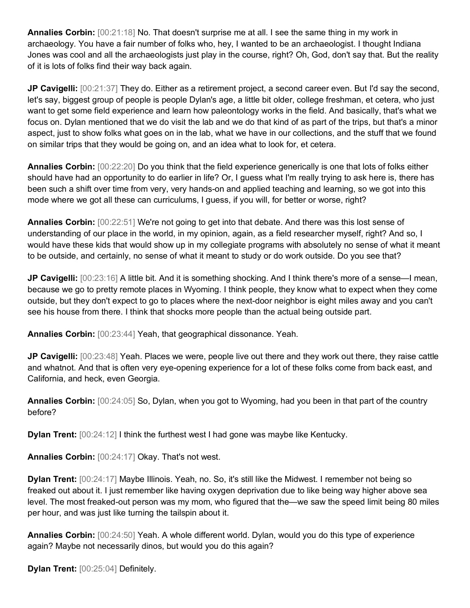**Annalies Corbin:** [00:21:18] No. That doesn't surprise me at all. I see the same thing in my work in archaeology. You have a fair number of folks who, hey, I wanted to be an archaeologist. I thought Indiana Jones was cool and all the archaeologists just play in the course, right? Oh, God, don't say that. But the reality of it is lots of folks find their way back again.

**JP Cavigelli:** [00:21:37] They do. Either as a retirement project, a second career even. But I'd say the second, let's say, biggest group of people is people Dylan's age, a little bit older, college freshman, et cetera, who just want to get some field experience and learn how paleontology works in the field. And basically, that's what we focus on. Dylan mentioned that we do visit the lab and we do that kind of as part of the trips, but that's a minor aspect, just to show folks what goes on in the lab, what we have in our collections, and the stuff that we found on similar trips that they would be going on, and an idea what to look for, et cetera.

**Annalies Corbin:** [00:22:20] Do you think that the field experience generically is one that lots of folks either should have had an opportunity to do earlier in life? Or, I guess what I'm really trying to ask here is, there has been such a shift over time from very, very hands-on and applied teaching and learning, so we got into this mode where we got all these can curriculums, I guess, if you will, for better or worse, right?

**Annalies Corbin:** [00:22:51] We're not going to get into that debate. And there was this lost sense of understanding of our place in the world, in my opinion, again, as a field researcher myself, right? And so, I would have these kids that would show up in my collegiate programs with absolutely no sense of what it meant to be outside, and certainly, no sense of what it meant to study or do work outside. Do you see that?

**JP Cavigelli:** [00:23:16] A little bit. And it is something shocking. And I think there's more of a sense—I mean, because we go to pretty remote places in Wyoming. I think people, they know what to expect when they come outside, but they don't expect to go to places where the next-door neighbor is eight miles away and you can't see his house from there. I think that shocks more people than the actual being outside part.

**Annalies Corbin:** [00:23:44] Yeah, that geographical dissonance. Yeah.

**JP Cavigelli:** [00:23:48] Yeah. Places we were, people live out there and they work out there, they raise cattle and whatnot. And that is often very eye-opening experience for a lot of these folks come from back east, and California, and heck, even Georgia.

**Annalies Corbin:** [00:24:05] So, Dylan, when you got to Wyoming, had you been in that part of the country before?

**Dylan Trent:** [00:24:12] I think the furthest west I had gone was maybe like Kentucky.

**Annalies Corbin:** [00:24:17] Okay. That's not west.

**Dylan Trent:** [00:24:17] Maybe Illinois. Yeah, no. So, it's still like the Midwest. I remember not being so freaked out about it. I just remember like having oxygen deprivation due to like being way higher above sea level. The most freaked-out person was my mom, who figured that the—we saw the speed limit being 80 miles per hour, and was just like turning the tailspin about it.

**Annalies Corbin:** [00:24:50] Yeah. A whole different world. Dylan, would you do this type of experience again? Maybe not necessarily dinos, but would you do this again?

**Dylan Trent:** [00:25:04] Definitely.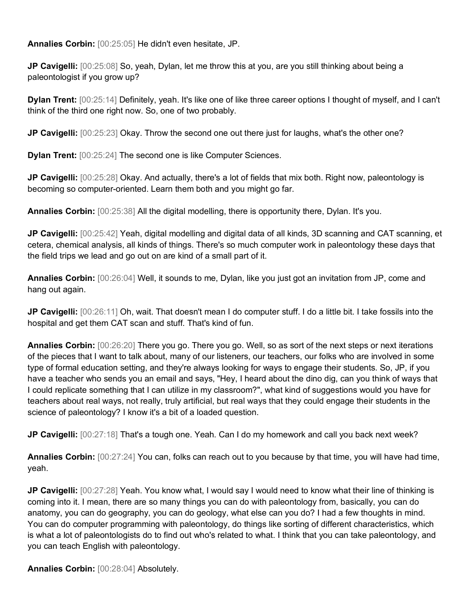**Annalies Corbin:** [00:25:05] He didn't even hesitate, JP.

**JP Cavigelli:** [00:25:08] So, yeah, Dylan, let me throw this at you, are you still thinking about being a paleontologist if you grow up?

**Dylan Trent:** [00:25:14] Definitely, yeah. It's like one of like three career options I thought of myself, and I can't think of the third one right now. So, one of two probably.

**JP Cavigelli:** [00:25:23] Okay. Throw the second one out there just for laughs, what's the other one?

**Dylan Trent:** [00:25:24] The second one is like Computer Sciences.

**JP Cavigelli:** [00:25:28] Okay. And actually, there's a lot of fields that mix both. Right now, paleontology is becoming so computer-oriented. Learn them both and you might go far.

**Annalies Corbin:** [00:25:38] All the digital modelling, there is opportunity there, Dylan. It's you.

**JP Cavigelli:** [00:25:42] Yeah, digital modelling and digital data of all kinds, 3D scanning and CAT scanning, et cetera, chemical analysis, all kinds of things. There's so much computer work in paleontology these days that the field trips we lead and go out on are kind of a small part of it.

**Annalies Corbin:** [00:26:04] Well, it sounds to me, Dylan, like you just got an invitation from JP, come and hang out again.

**JP Cavigelli:** [00:26:11] Oh, wait. That doesn't mean I do computer stuff. I do a little bit. I take fossils into the hospital and get them CAT scan and stuff. That's kind of fun.

**Annalies Corbin:** [00:26:20] There you go. There you go. Well, so as sort of the next steps or next iterations of the pieces that I want to talk about, many of our listeners, our teachers, our folks who are involved in some type of formal education setting, and they're always looking for ways to engage their students. So, JP, if you have a teacher who sends you an email and says, "Hey, I heard about the dino dig, can you think of ways that I could replicate something that I can utilize in my classroom?", what kind of suggestions would you have for teachers about real ways, not really, truly artificial, but real ways that they could engage their students in the science of paleontology? I know it's a bit of a loaded question.

**JP Cavigelli:** [00:27:18] That's a tough one. Yeah. Can I do my homework and call you back next week?

**Annalies Corbin:** [00:27:24] You can, folks can reach out to you because by that time, you will have had time, yeah.

**JP Cavigelli:** [00:27:28] Yeah. You know what, I would say I would need to know what their line of thinking is coming into it. I mean, there are so many things you can do with paleontology from, basically, you can do anatomy, you can do geography, you can do geology, what else can you do? I had a few thoughts in mind. You can do computer programming with paleontology, do things like sorting of different characteristics, which is what a lot of paleontologists do to find out who's related to what. I think that you can take paleontology, and you can teach English with paleontology.

**Annalies Corbin:** [00:28:04] Absolutely.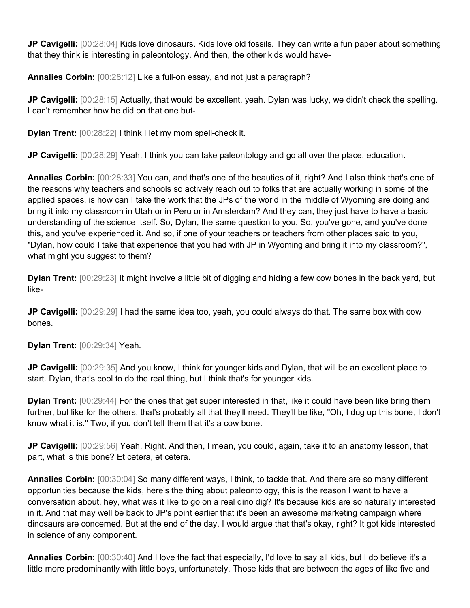**JP Cavigelli:** [00:28:04] Kids love dinosaurs. Kids love old fossils. They can write a fun paper about something that they think is interesting in paleontology. And then, the other kids would have-

**Annalies Corbin:** [00:28:12] Like a full-on essay, and not just a paragraph?

**JP Cavigelli:** [00:28:15] Actually, that would be excellent, yeah. Dylan was lucky, we didn't check the spelling. I can't remember how he did on that one but-

**Dylan Trent:** [00:28:22] I think I let my mom spell-check it.

**JP Cavigelli:** [00:28:29] Yeah, I think you can take paleontology and go all over the place, education.

**Annalies Corbin:** [00:28:33] You can, and that's one of the beauties of it, right? And I also think that's one of the reasons why teachers and schools so actively reach out to folks that are actually working in some of the applied spaces, is how can I take the work that the JPs of the world in the middle of Wyoming are doing and bring it into my classroom in Utah or in Peru or in Amsterdam? And they can, they just have to have a basic understanding of the science itself. So, Dylan, the same question to you. So, you've gone, and you've done this, and you've experienced it. And so, if one of your teachers or teachers from other places said to you, "Dylan, how could I take that experience that you had with JP in Wyoming and bring it into my classroom?", what might you suggest to them?

**Dylan Trent:** [00:29:23] It might involve a little bit of digging and hiding a few cow bones in the back yard, but like-

**JP Cavigelli:** [00:29:29] I had the same idea too, yeah, you could always do that. The same box with cow bones.

**Dylan Trent:** [00:29:34] Yeah.

**JP Cavigelli:** [00:29:35] And you know, I think for younger kids and Dylan, that will be an excellent place to start. Dylan, that's cool to do the real thing, but I think that's for younger kids.

**Dylan Trent:** [00:29:44] For the ones that get super interested in that, like it could have been like bring them further, but like for the others, that's probably all that they'll need. They'll be like, "Oh, I dug up this bone, I don't know what it is." Two, if you don't tell them that it's a cow bone.

**JP Cavigelli:** [00:29:56] Yeah. Right. And then, I mean, you could, again, take it to an anatomy lesson, that part, what is this bone? Et cetera, et cetera.

**Annalies Corbin:** [00:30:04] So many different ways, I think, to tackle that. And there are so many different opportunities because the kids, here's the thing about paleontology, this is the reason I want to have a conversation about, hey, what was it like to go on a real dino dig? It's because kids are so naturally interested in it. And that may well be back to JP's point earlier that it's been an awesome marketing campaign where dinosaurs are concerned. But at the end of the day, I would argue that that's okay, right? It got kids interested in science of any component.

**Annalies Corbin:** [00:30:40] And I love the fact that especially, I'd love to say all kids, but I do believe it's a little more predominantly with little boys, unfortunately. Those kids that are between the ages of like five and